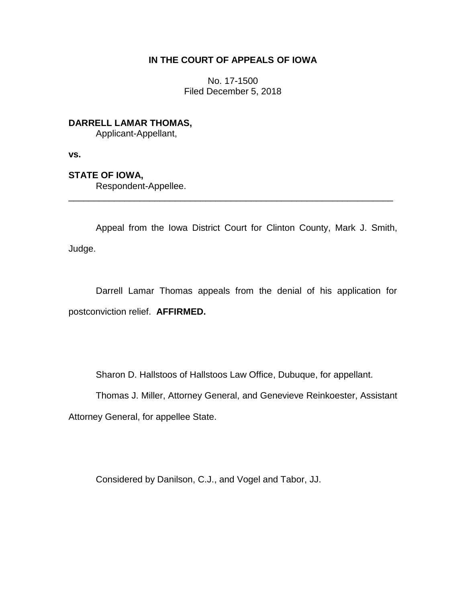## **IN THE COURT OF APPEALS OF IOWA**

No. 17-1500 Filed December 5, 2018

**DARRELL LAMAR THOMAS,** Applicant-Appellant,

**vs.**

**STATE OF IOWA,**

Respondent-Appellee.

Appeal from the Iowa District Court for Clinton County, Mark J. Smith, Judge.

\_\_\_\_\_\_\_\_\_\_\_\_\_\_\_\_\_\_\_\_\_\_\_\_\_\_\_\_\_\_\_\_\_\_\_\_\_\_\_\_\_\_\_\_\_\_\_\_\_\_\_\_\_\_\_\_\_\_\_\_\_\_\_\_

Darrell Lamar Thomas appeals from the denial of his application for postconviction relief. **AFFIRMED.**

Sharon D. Hallstoos of Hallstoos Law Office, Dubuque, for appellant.

Thomas J. Miller, Attorney General, and Genevieve Reinkoester, Assistant

Attorney General, for appellee State.

Considered by Danilson, C.J., and Vogel and Tabor, JJ.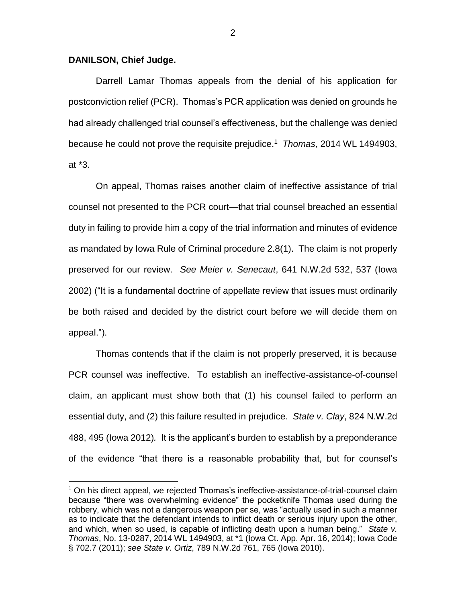## **DANILSON, Chief Judge.**

 $\overline{a}$ 

Darrell Lamar Thomas appeals from the denial of his application for postconviction relief (PCR). Thomas's PCR application was denied on grounds he had already challenged trial counsel's effectiveness, but the challenge was denied because he could not prove the requisite prejudice.<sup>1</sup> *Thomas*, 2014 WL 1494903, at \*3.

On appeal, Thomas raises another claim of ineffective assistance of trial counsel not presented to the PCR court—that trial counsel breached an essential duty in failing to provide him a copy of the trial information and minutes of evidence as mandated by Iowa Rule of Criminal procedure 2.8(1). The claim is not properly preserved for our review. *See Meier v. Senecaut*, 641 N.W.2d 532, 537 (Iowa 2002) ("It is a fundamental doctrine of appellate review that issues must ordinarily be both raised and decided by the district court before we will decide them on appeal.").

Thomas contends that if the claim is not properly preserved, it is because PCR counsel was ineffective. To establish an ineffective-assistance-of-counsel claim, an applicant must show both that (1) his counsel failed to perform an essential duty, and (2) this failure resulted in prejudice. *State v. Clay*, 824 N.W.2d 488, 495 (Iowa 2012)*.* It is the applicant's burden to establish by a preponderance of the evidence "that there is a reasonable probability that, but for counsel's

<sup>&</sup>lt;sup>1</sup> On his direct appeal, we rejected Thomas's ineffective-assistance-of-trial-counsel claim because "there was overwhelming evidence" the pocketknife Thomas used during the robbery, which was not a dangerous weapon per se, was "actually used in such a manner as to indicate that the defendant intends to inflict death or serious injury upon the other, and which, when so used, is capable of inflicting death upon a human being." *State v. Thomas*, No. 13-0287, 2014 WL 1494903, at \*1 (Iowa Ct. App. Apr. 16, 2014); Iowa Code § 702.7 (2011); *see State v. Ortiz*, 789 N.W.2d 761, 765 (Iowa 2010).